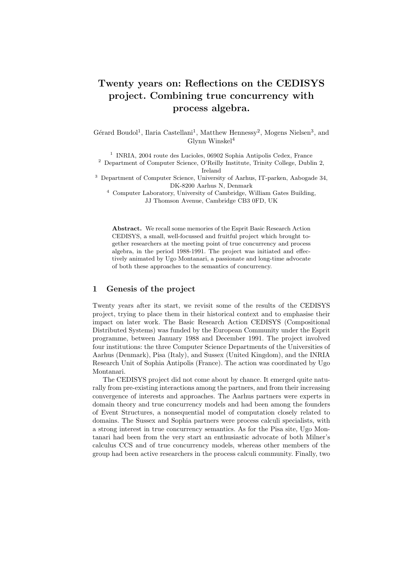# Twenty years on: Reflections on the CEDISYS project. Combining true concurrency with process algebra.

Gérard Boudol<sup>1</sup>, Ilaria Castellani<sup>1</sup>, Matthew Hennessy<sup>2</sup>, Mogens Nielsen<sup>3</sup>, and  $G$ lynn Winskel<sup>4</sup>

1 INRIA, 2004 route des Lucioles, 06902 Sophia Antipolis Cedex, France

<sup>2</sup> Department of Computer Science, O'Reilly Institute, Trinity College, Dublin 2, Ireland

<sup>3</sup> Department of Computer Science, University of Aarhus, IT-parken, Aabogade 34, DK-8200 Aarhus N, Denmark

<sup>4</sup> Computer Laboratory, University of Cambridge, William Gates Building, JJ Thomson Avenue, Cambridge CB3 0FD, UK

Abstract. We recall some memories of the Esprit Basic Research Action CEDISYS, a small, well-focussed and fruitful project which brought together researchers at the meeting point of true concurrency and process algebra, in the period 1988-1991. The project was initiated and effectively animated by Ugo Montanari, a passionate and long-time advocate of both these approaches to the semantics of concurrency.

## 1 Genesis of the project

Twenty years after its start, we revisit some of the results of the CEDISYS project, trying to place them in their historical context and to emphasise their impact on later work. The Basic Research Action CEDISYS (Compositional Distributed Systems) was funded by the European Community under the Esprit programme, between January 1988 and December 1991. The project involved four institutions: the three Computer Science Departments of the Universities of Aarhus (Denmark), Pisa (Italy), and Sussex (United Kingdom), and the INRIA Research Unit of Sophia Antipolis (France). The action was coordinated by Ugo Montanari.

The CEDISYS project did not come about by chance. It emerged quite naturally from pre-existing interactions among the partners, and from their increasing convergence of interests and approaches. The Aarhus partners were experts in domain theory and true concurrency models and had been among the founders of Event Structures, a nonsequential model of computation closely related to domains. The Sussex and Sophia partners were process calculi specialists, with a strong interest in true concurrency semantics. As for the Pisa site, Ugo Montanari had been from the very start an enthusiastic advocate of both Milner's calculus CCS and of true concurrency models, whereas other members of the group had been active researchers in the process calculi community. Finally, two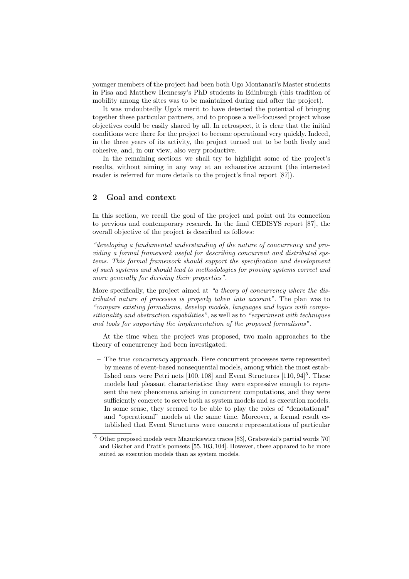younger members of the project had been both Ugo Montanari's Master students in Pisa and Matthew Hennessy's PhD students in Edinburgh (this tradition of mobility among the sites was to be maintained during and after the project).

It was undoubtedly Ugo's merit to have detected the potential of bringing together these particular partners, and to propose a well-focussed project whose objectives could be easily shared by all. In retrospect, it is clear that the initial conditions were there for the project to become operational very quickly. Indeed, in the three years of its activity, the project turned out to be both lively and cohesive, and, in our view, also very productive.

In the remaining sections we shall try to highlight some of the project's results, without aiming in any way at an exhaustive account (the interested reader is referred for more details to the project's final report [87]).

## 2 Goal and context

In this section, we recall the goal of the project and point out its connection to previous and contemporary research. In the final CEDISYS report [87], the overall objective of the project is described as follows:

"developing a fundamental understanding of the nature of concurrency and providing a formal framework useful for describing concurrent and distributed systems. This formal framework should support the specification and development of such systems and should lead to methodologies for proving systems correct and more generally for deriving their properties".

More specifically, the project aimed at "a theory of concurrency where the distributed nature of processes is properly taken into account". The plan was to "compare existing formalisms, develop models, languages and logics with compositionality and abstraction capabilities", as well as to "experiment with techniques and tools for supporting the implementation of the proposed formalisms".

At the time when the project was proposed, two main approaches to the theory of concurrency had been investigated:

– The true concurrency approach. Here concurrent processes were represented by means of event-based nonsequential models, among which the most established ones were Petri nets  $[100, 108]$  and Event Structures  $[110, 94]$ <sup>5</sup>. These models had pleasant characteristics: they were expressive enough to represent the new phenomena arising in concurrent computations, and they were sufficiently concrete to serve both as system models and as execution models. In some sense, they seemed to be able to play the roles of "denotational" and "operational" models at the same time. Moreover, a formal result established that Event Structures were concrete representations of particular

<sup>5</sup> Other proposed models were Mazurkiewicz traces [83], Grabowski's partial words [70] and Gischer and Pratt's pomsets [55, 103, 104]. However, these appeared to be more suited as execution models than as system models.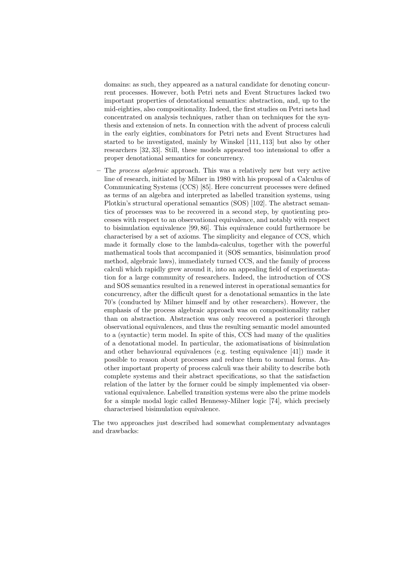domains: as such, they appeared as a natural candidate for denoting concurrent processes. However, both Petri nets and Event Structures lacked two important properties of denotational semantics: abstraction, and, up to the mid-eighties, also compositionality. Indeed, the first studies on Petri nets had concentrated on analysis techniques, rather than on techniques for the synthesis and extension of nets. In connection with the advent of process calculi in the early eighties, combinators for Petri nets and Event Structures had started to be investigated, mainly by Winskel [111, 113] but also by other researchers [32, 33]. Still, these models appeared too intensional to offer a proper denotational semantics for concurrency.

The *process algebraic* approach. This was a relatively new but very active line of research, initiated by Milner in 1980 with his proposal of a Calculus of Communicating Systems (CCS) [85]. Here concurrent processes were defined as terms of an algebra and interpreted as labelled transition systems, using Plotkin's structural operational semantics (SOS) [102]. The abstract semantics of processes was to be recovered in a second step, by quotienting processes with respect to an observational equivalence, and notably with respect to bisimulation equivalence [99, 86]. This equivalence could furthermore be characterised by a set of axioms. The simplicity and elegance of CCS, which made it formally close to the lambda-calculus, together with the powerful mathematical tools that accompanied it (SOS semantics, bisimulation proof method, algebraic laws), immediately turned CCS, and the family of process calculi which rapidly grew around it, into an appealing field of experimentation for a large community of researchers. Indeed, the introduction of CCS and SOS semantics resulted in a renewed interest in operational semantics for concurrency, after the difficult quest for a denotational semantics in the late 70's (conducted by Milner himself and by other researchers). However, the emphasis of the process algebraic approach was on compositionality rather than on abstraction. Abstraction was only recovered a posteriori through observational equivalences, and thus the resulting semantic model amounted to a (syntactic) term model. In spite of this, CCS had many of the qualities of a denotational model. In particular, the axiomatisations of bisimulation and other behavioural equivalences (e.g. testing equivalence [41]) made it possible to reason about processes and reduce them to normal forms. Another important property of process calculi was their ability to describe both complete systems and their abstract specifications, so that the satisfaction relation of the latter by the former could be simply implemented via observational equivalence. Labelled transition systems were also the prime models for a simple modal logic called Hennessy-Milner logic [74], which precisely characterised bisimulation equivalence.

The two approaches just described had somewhat complementary advantages and drawbacks: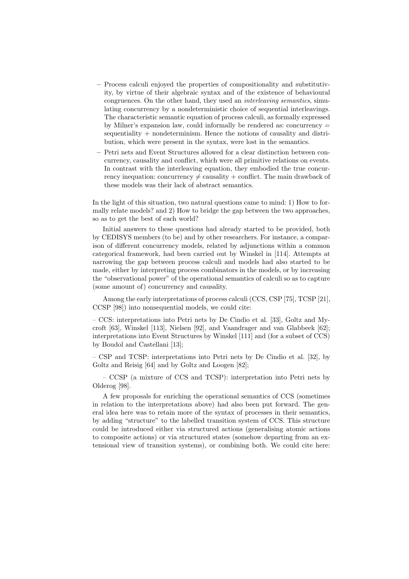- Process calculi enjoyed the properties of compositionality and substitutivity, by virtue of their algebraic syntax and of the existence of behavioural congruences. On the other hand, they used an interleaving semantics, simulating concurrency by a nondeterministic choice of sequential interleavings. The characteristic semantic equation of process calculi, as formally expressed by Milner's expansion law, could informally be rendered as: concurrency = sequentiality + nondeterminism. Hence the notions of causality and distribution, which were present in the syntax, were lost in the semantics.
- Petri nets and Event Structures allowed for a clear distinction between concurrency, causality and conflict, which were all primitive relations on events. In contrast with the interleaving equation, they embodied the true concurrency inequation: concurrency  $\neq$  causality + conflict. The main drawback of these models was their lack of abstract semantics.

In the light of this situation, two natural questions came to mind: 1) How to formally relate models? and 2) How to bridge the gap between the two approaches, so as to get the best of each world?

Initial answers to these questions had already started to be provided, both by CEDISYS members (to be) and by other researchers. For instance, a comparison of different concurrency models, related by adjunctions within a common categorical framework, had been carried out by Winskel in [114]. Attempts at narrowing the gap between process calculi and models had also started to be made, either by interpreting process combinators in the models, or by increasing the "observational power" of the operational semantics of calculi so as to capture (some amount of) concurrency and causality.

Among the early interpretations of process calculi (CCS, CSP [75], TCSP [21], CCSP [98]) into nonsequential models, we could cite:

– CCS: interpretations into Petri nets by De Cindio et al. [33], Goltz and Mycroft [63], Winskel [113], Nielsen [92], and Vaandrager and van Glabbeek [62]; interpretations into Event Structures by Winskel [111] and (for a subset of CCS) by Boudol and Castellani [13];

– CSP and TCSP: interpretations into Petri nets by De Cindio et al. [32], by Goltz and Reisig [64] and by Goltz and Loogen [82];

– CCSP (a mixture of CCS and TCSP): interpretation into Petri nets by Olderog [98].

A few proposals for enriching the operational semantics of CCS (sometimes in relation to the interpretations above) had also been put forward. The general idea here was to retain more of the syntax of processes in their semantics, by adding "structure" to the labelled transition system of CCS. This structure could be introduced either via structured actions (generalising atomic actions to composite actions) or via structured states (somehow departing from an extensional view of transition systems), or combining both. We could cite here: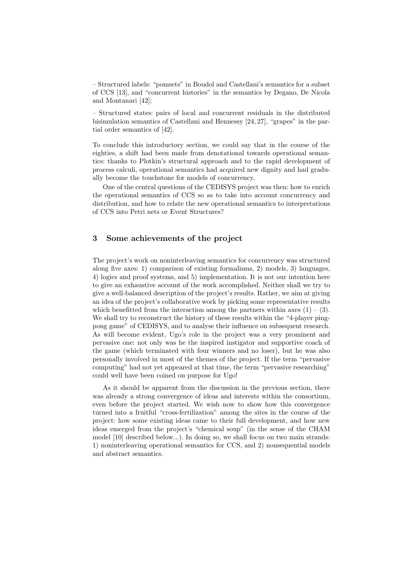– Structured labels: "pomsets" in Boudol and Castellani's semantics for a subset of CCS [13], and "concurrent histories" in the semantics by Degano, De Nicola and Montanari [42];

– Structured states: pairs of local and concurrent residuals in the distributed bisimulation semantics of Castellani and Hennessy [24, 27], "grapes" in the partial order semantics of [42].

To conclude this introductory section, we could say that in the course of the eighties, a shift had been made from denotational towards operational semantics: thanks to Plotkin's structural approach and to the rapid development of process calculi, operational semantics had acquired new dignity and had gradually become the touchstone for models of concurrency.

One of the central questions of the CEDISYS project was then: how to enrich the operational semantics of CCS so as to take into account concurrency and distribution, and how to relate the new operational semantics to interpretations of CCS into Petri nets or Event Structures?

## 3 Some achievements of the project

The project's work on noninterleaving semantics for concurrency was structured along five axes: 1) comparison of existing formalisms, 2) models, 3) languages, 4) logics and proof systems, and 5) implementation. It is not our intention here to give an exhaustive account of the work accomplished. Neither shall we try to give a well-balanced description of the project's results. Rather, we aim at giving an idea of the project's collaborative work by picking some representative results which benefitted from the interaction among the partners within axes  $(1) - (3)$ . We shall try to reconstruct the history of these results within the "4-player pingpong game" of CEDISYS, and to analyse their influence on subsequent research. As will become evident, Ugo's role in the project was a very prominent and pervasive one: not only was he the inspired instigator and supportive coach of the game (which terminated with four winners and no loser), but he was also personally involved in most of the themes of the project. If the term "pervasive computing" had not yet appeared at that time, the term "pervasive researching" could well have been coined on purpose for Ugo!

As it should be apparent from the discussion in the previous section, there was already a strong convergence of ideas and interests within the consortium, even before the project started. We wish now to show how this convergence turned into a fruitful "cross-fertilization" among the sites in the course of the project: how some existing ideas came to their full development, and how new ideas emerged from the project's "chemical soup" (in the sense of the CHAM model [10] described below...). In doing so, we shall focus on two main strands: 1) noninterleaving operational semantics for CCS, and 2) nonsequential models and abstract semantics.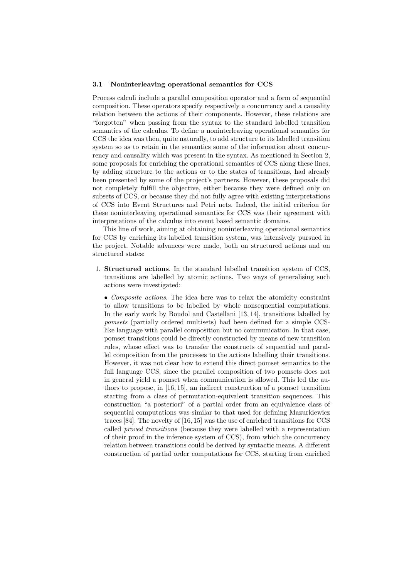#### 3.1 Noninterleaving operational semantics for CCS

Process calculi include a parallel composition operator and a form of sequential composition. These operators specify respectively a concurrency and a causality relation between the actions of their components. However, these relations are "forgotten" when passing from the syntax to the standard labelled transition semantics of the calculus. To define a noninterleaving operational semantics for CCS the idea was then, quite naturally, to add structure to its labelled transition system so as to retain in the semantics some of the information about concurrency and causality which was present in the syntax. As mentioned in Section 2, some proposals for enriching the operational semantics of CCS along these lines, by adding structure to the actions or to the states of transitions, had already been presented by some of the project's partners. However, these proposals did not completely fulfill the objective, either because they were defined only on subsets of CCS, or because they did not fully agree with existing interpretations of CCS into Event Structures and Petri nets. Indeed, the initial criterion for these noninterleaving operational semantics for CCS was their agreement with interpretations of the calculus into event based semantic domains.

This line of work, aiming at obtaining noninterleaving operational semantics for CCS by enriching its labelled transition system, was intensively pursued in the project. Notable advances were made, both on structured actions and on structured states:

1. Structured actions. In the standard labelled transition system of CCS, transitions are labelled by atomic actions. Two ways of generalising such actions were investigated:

• Composite actions. The idea here was to relax the atomicity constraint to allow transitions to be labelled by whole nonsequential computations. In the early work by Boudol and Castellani [13, 14], transitions labelled by pomsets (partially ordered multisets) had been defined for a simple CCSlike language with parallel composition but no communication. In that case, pomset transitions could be directly constructed by means of new transition rules, whose effect was to transfer the constructs of sequential and parallel composition from the processes to the actions labelling their transitions. However, it was not clear how to extend this direct pomset semantics to the full language CCS, since the parallel composition of two pomsets does not in general yield a pomset when communication is allowed. This led the authors to propose, in [16, 15], an indirect construction of a pomset transition starting from a class of permutation-equivalent transition sequences. This construction "a posteriori" of a partial order from an equivalence class of sequential computations was similar to that used for defining Mazurkiewicz traces [84]. The novelty of [16, 15] was the use of enriched transitions for CCS called proved transitions (because they were labelled with a representation of their proof in the inference system of CCS), from which the concurrency relation between transitions could be derived by syntactic means. A different construction of partial order computations for CCS, starting from enriched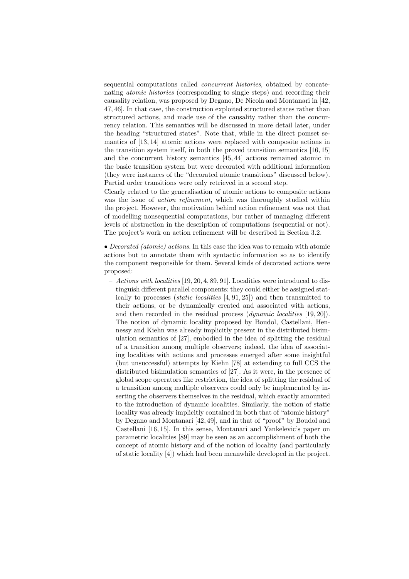sequential computations called concurrent histories, obtained by concatenating atomic histories (corresponding to single steps) and recording their causality relation, was proposed by Degano, De Nicola and Montanari in [42, 47, 46]. In that case, the construction exploited structured states rather than structured actions, and made use of the causality rather than the concurrency relation. This semantics will be discussed in more detail later, under the heading "structured states". Note that, while in the direct pomset semantics of [13, 14] atomic actions were replaced with composite actions in the transition system itself, in both the proved transition semantics [16, 15] and the concurrent history semantics [45, 44] actions remained atomic in the basic transition system but were decorated with additional information (they were instances of the "decorated atomic transitions" discussed below). Partial order transitions were only retrieved in a second step.

Clearly related to the generalisation of atomic actions to composite actions was the issue of *action refinement*, which was thoroughly studied within the project. However, the motivation behind action refinement was not that of modelling nonsequential computations, bur rather of managing different levels of abstraction in the description of computations (sequential or not). The project's work on action refinement will be described in Section 3.2.

• Decorated (atomic) actions. In this case the idea was to remain with atomic actions but to annotate them with syntactic information so as to identify the component responsible for them. Several kinds of decorated actions were proposed:

– Actions with localities [19, 20, 4, 89, 91]. Localities were introduced to distinguish different parallel components: they could either be assigned statically to processes (static localities [4, 91, 25]) and then transmitted to their actions, or be dynamically created and associated with actions, and then recorded in the residual process (dynamic localities [19, 20]). The notion of dynamic locality proposed by Boudol, Castellani, Hennessy and Kiehn was already implicitly present in the distributed bisimulation semantics of [27], embodied in the idea of splitting the residual of a transition among multiple observers; indeed, the idea of associating localities with actions and processes emerged after some insightful (but unsuccessful) attempts by Kiehn [78] at extending to full CCS the distributed bisimulation semantics of [27]. As it were, in the presence of global scope operators like restriction, the idea of splitting the residual of a transition among multiple observers could only be implemented by inserting the observers themselves in the residual, which exactly amounted to the introduction of dynamic localities. Similarly, the notion of static locality was already implicitly contained in both that of "atomic history" by Degano and Montanari [42, 49], and in that of "proof" by Boudol and Castellani [16, 15]. In this sense, Montanari and Yankelevic's paper on parametric localities [89] may be seen as an accomplishment of both the concept of atomic history and of the notion of locality (and particularly of static locality [4]) which had been meanwhile developed in the project.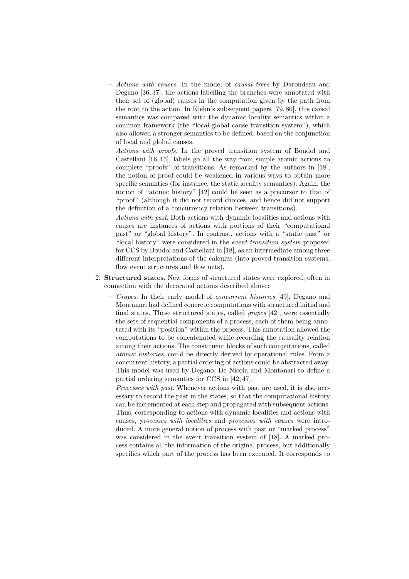- Actions with causes. In the model of causal trees by Darondeau and Degano [36, 37], the actions labelling the branches were annotated with their set of (global) causes in the computation given by the path from the root to the action. In Kiehn's subsequent papers [79, 80], this causal semantics was compared with the dynamic locality semantics within a common framework (the "local-global cause transition system"), which also allowed a stronger semantics to be defined, based on the conjunction of local and global causes.
- Actions with proofs. In the proved transition system of Boudol and Castellani [16, 15], labels go all the way from simple atomic actions to complete "proofs" of transitions. As remarked by the authors in [18], the notion of proof could be weakened in various ways to obtain more specific semantics (for instance, the static locality semantics). Again, the notion of "atomic history" [42] could be seen as a precursor to that of "proof" (although it did not record choices, and hence did not support the definition of a concurrency relation between transitions).
- Actions with past. Both actions with dynamic localities and actions with causes are instances of actions with portions of their "computational past" or "global history". In contrast, actions with a "static past" or "local history" were considered in the event transition system proposed for CCS by Boudol and Castellani in [18], as an intermediate among three different interpretations of the calculus (into proved transition systems, flow event structures and flow nets).
- 2. Structured states. New forms of structured states were explored, often in connection with the decorated actions described above:
	- Grapes. In their early model of concurrent histories [49], Degano and Montanari had defined concrete computations with structured initial and final states. These structured states, called grapes [42], were essentially the sets of sequential components of a process, each of them being annotated with its "position" within the process. This annotation allowed the computations to be concatenated while recording the causality relation among their actions. The constituent blocks of such computations, called atomic histories, could be directly derived by operational rules. From a concurrent history, a partial ordering of actions could be abstracted away. This model was used by Degano, De Nicola and Montanari to define a partial ordering semantics for CCS in [42, 47].
	- Processes with past. Whenever actions with past are used, it is also necessary to record the past in the states, so that the computational history can be incremented at each step and propagated with subsequent actions. Thus, corresponding to actions with dynamic localities and actions with causes, processes with localities and processes with causes were introduced. A more general notion of process with past or "marked process" was considered in the event transition system of [18]. A marked process contains all the information of the original process, but additionally specifies which part of the process has been executed. It corresponds to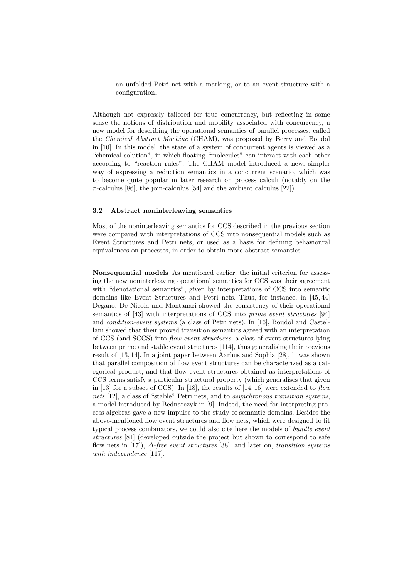an unfolded Petri net with a marking, or to an event structure with a configuration.

Although not expressly tailored for true concurrency, but reflecting in some sense the notions of distribution and mobility associated with concurrency, a new model for describing the operational semantics of parallel processes, called the Chemical Abstract Machine (CHAM), was proposed by Berry and Boudol in [10]. In this model, the state of a system of concurrent agents is viewed as a "chemical solution", in which floating "molecules" can interact with each other according to "reaction rules". The CHAM model introduced a new, simpler way of expressing a reduction semantics in a concurrent scenario, which was to become quite popular in later research on process calculi (notably on the  $\pi$ -calculus [86], the join-calculus [54] and the ambient calculus [22]).

### 3.2 Abstract noninterleaving semantics

Most of the noninterleaving semantics for CCS described in the previous section were compared with interpretations of CCS into nonsequential models such as Event Structures and Petri nets, or used as a basis for defining behavioural equivalences on processes, in order to obtain more abstract semantics.

Nonsequential models As mentioned earlier, the initial criterion for assessing the new noninterleaving operational semantics for CCS was their agreement with "denotational semantics", given by interpretations of CCS into semantic domains like Event Structures and Petri nets. Thus, for instance, in [45, 44] Degano, De Nicola and Montanari showed the consistency of their operational semantics of [43] with interpretations of CCS into prime event structures [94] and condition-event systems (a class of Petri nets). In [16], Boudol and Castellani showed that their proved transition semantics agreed with an interpretation of CCS (and SCCS) into flow event structures, a class of event structures lying between prime and stable event structures [114], thus generalising their previous result of [13, 14]. In a joint paper between Aarhus and Sophia [28], it was shown that parallel composition of flow event structures can be characterized as a categorical product, and that flow event structures obtained as interpretations of CCS terms satisfy a particular structural property (which generalises that given in [13] for a subset of CCS). In [18], the results of [14, 16] were extended to  $flow$ nets [12], a class of "stable" Petri nets, and to asynchronous transition systems, a model introduced by Bednarczyk in [9]. Indeed, the need for interpreting process algebras gave a new impulse to the study of semantic domains. Besides the above-mentioned flow event structures and flow nets, which were designed to fit typical process combinators, we could also cite here the models of bundle event structures [81] (developed outside the project but shown to correspond to safe flow nets in [17]),  $\Delta$ -free event structures [38], and later on, transition systems with independence [117].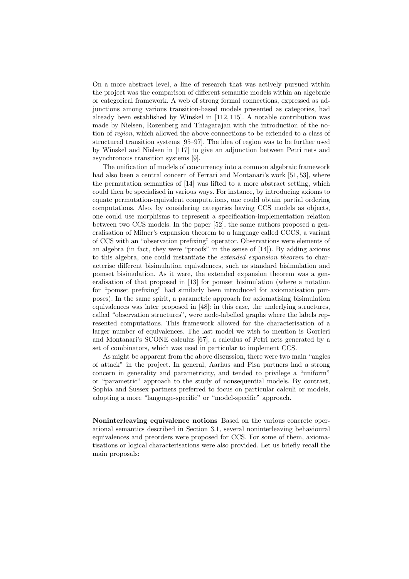On a more abstract level, a line of research that was actively pursued within the project was the comparison of different semantic models within an algebraic or categorical framework. A web of strong formal connections, expressed as adjunctions among various transition-based models presented as categories, had already been established by Winskel in [112, 115]. A notable contribution was made by Nielsen, Rozenberg and Thiagarajan with the introduction of the notion of region, which allowed the above connections to be extended to a class of structured transition systems [95–97]. The idea of region was to be further used by Winskel and Nielsen in [117] to give an adjunction between Petri nets and asynchronous transition systems [9].

The unification of models of concurrency into a common algebraic framework had also been a central concern of Ferrari and Montanari's work [51, 53], where the permutation semantics of [14] was lifted to a more abstract setting, which could then be specialised in various ways. For instance, by introducing axioms to equate permutation-equivalent computations, one could obtain partial ordering computations. Also, by considering categories having CCS models as objects, one could use morphisms to represent a specification-implementation relation between two CCS models. In the paper [52], the same authors proposed a generalisation of Milner's expansion theorem to a language called CCCS, a variant of CCS with an "observation prefixing" operator. Observations were elements of an algebra (in fact, they were "proofs" in the sense of [14]). By adding axioms to this algebra, one could instantiate the extended expansion theorem to characterise different bisimulation equivalences, such as standard bisimulation and pomset bisimulation. As it were, the extended expansion theorem was a generalisation of that proposed in [13] for pomset bisimulation (where a notation for "pomset prefixing" had similarly been introduced for axiomatisation purposes). In the same spirit, a parametric approach for axiomatising bisimulation equivalences was later proposed in [48]: in this case, the underlying structures, called "observation structures", were node-labelled graphs where the labels represented computations. This framework allowed for the characterisation of a larger number of equivalences. The last model we wish to mention is Gorrieri and Montanari's SCONE calculus [67], a calculus of Petri nets generated by a set of combinators, which was used in particular to implement CCS.

As might be apparent from the above discussion, there were two main "angles of attack" in the project. In general, Aarhus and Pisa partners had a strong concern in generality and parametricity, and tended to privilege a "uniform" or "parametric" approach to the study of nonsequential models. By contrast, Sophia and Sussex partners preferred to focus on particular calculi or models, adopting a more "language-specific" or "model-specific" approach.

Noninterleaving equivalence notions Based on the various concrete operational semantics described in Section 3.1, several noninterleaving behavioural equivalences and preorders were proposed for CCS. For some of them, axiomatisations or logical characterisations were also provided. Let us briefly recall the main proposals: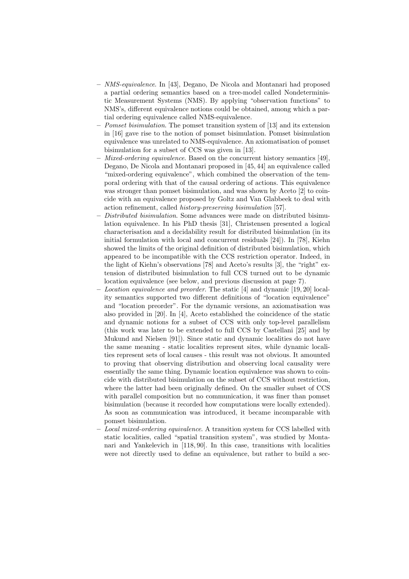- NMS-equivalence. In [43], Degano, De Nicola and Montanari had proposed a partial ordering semantics based on a tree-model called Nondeterministic Measurement Systems (NMS). By applying "observation functions" to NMS's, different equivalence notions could be obtained, among which a partial ordering equivalence called NMS-equivalence.
- $-$  *Pomset bisimulation*. The pomset transition system of [13] and its extension in [16] gave rise to the notion of pomset bisimulation. Pomset bisimulation equivalence was unrelated to NMS-equivalence. An axiomatisation of pomset bisimulation for a subset of CCS was given in [13].
- $-$  *Mixed-ordering equivalence.* Based on the concurrent history semantics [49], Degano, De Nicola and Montanari proposed in [45, 44] an equivalence called "mixed-ordering equivalence", which combined the observation of the temporal ordering with that of the causal ordering of actions. This equivalence was stronger than pomset bisimulation, and was shown by Aceto [2] to coincide with an equivalence proposed by Goltz and Van Glabbeek to deal with action refinement, called history-preserving bisimulation [57].
- Distributed bisimulation. Some advances were made on distributed bisimulation equivalence. In his PhD thesis [31], Christensen presented a logical characterisation and a decidability result for distributed bisimulation (in its initial formulation with local and concurrent residuals [24]). In [78], Kiehn showed the limits of the original definition of distributed bisimulation, which appeared to be incompatible with the CCS restriction operator. Indeed, in the light of Kiehn's observations [78] and Aceto's results [3], the "right" extension of distributed bisimulation to full CCS turned out to be dynamic location equivalence (see below, and previous discussion at page 7).
- Location equivalence and preorder. The static [4] and dynamic [19, 20] locality semantics supported two different definitions of "location equivalence" and "location preorder". For the dynamic versions, an axiomatisation was also provided in [20]. In [4], Aceto established the coincidence of the static and dynamic notions for a subset of CCS with only top-level parallelism (this work was later to be extended to full CCS by Castellani [25] and by Mukund and Nielsen [91]). Since static and dynamic localities do not have the same meaning - static localities represent sites, while dynamic localities represent sets of local causes - this result was not obvious. It amounted to proving that observing distribution and observing local causality were essentially the same thing. Dynamic location equivalence was shown to coincide with distributed bisimulation on the subset of CCS without restriction, where the latter had been originally defined. On the smaller subset of CCS with parallel composition but no communication, it was finer than pomset bisimulation (because it recorded how computations were locally extended). As soon as communication was introduced, it became incomparable with pomset bisimulation.
- Local mixed-ordering equivalence. A transition system for CCS labelled with static localities, called "spatial transition system", was studied by Montanari and Yankelevich in [118, 90]. In this case, transitions with localities were not directly used to define an equivalence, but rather to build a sec-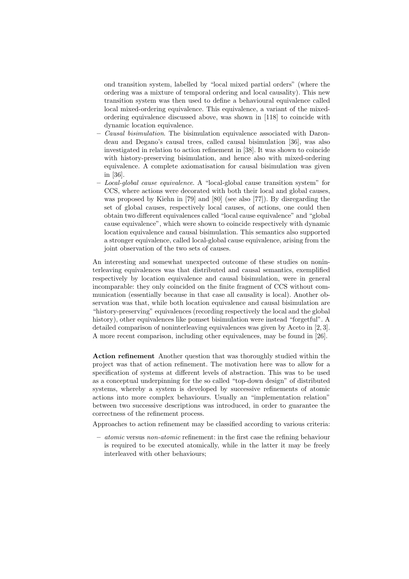ond transition system, labelled by "local mixed partial orders" (where the ordering was a mixture of temporal ordering and local causality). This new transition system was then used to define a behavioural equivalence called local mixed-ordering equivalence. This equivalence, a variant of the mixedordering equivalence discussed above, was shown in [118] to coincide with dynamic location equivalence.

- $-$  Causal bisimulation. The bisimulation equivalence associated with Darondeau and Degano's causal trees, called causal bisimulation [36], was also investigated in relation to action refinement in [38]. It was shown to coincide with history-preserving bisimulation, and hence also with mixed-ordering equivalence. A complete axiomatisation for causal bisimulation was given in [36].
- Local-global cause equivalence. A "local-global cause transition system" for CCS, where actions were decorated with both their local and global causes, was proposed by Kiehn in [79] and [80] (see also [77]). By disregarding the set of global causes, respectively local causes, of actions, one could then obtain two different equivalences called "local cause equivalence" and "global cause equivalence", which were shown to coincide respectively with dynamic location equivalence and causal bisimulation. This semantics also supported a stronger equivalence, called local-global cause equivalence, arising from the joint observation of the two sets of causes.

An interesting and somewhat unexpected outcome of these studies on noninterleaving equivalences was that distributed and causal semantics, exemplified respectively by location equivalence and causal bisimulation, were in general incomparable: they only coincided on the finite fragment of CCS without communication (essentially because in that case all causality is local). Another observation was that, while both location equivalence and causal bisimulation are "history-preserving" equivalences (recording respectively the local and the global history), other equivalences like pomset bisimulation were instead "forgetful". A detailed comparison of noninterleaving equivalences was given by Aceto in [2, 3]. A more recent comparison, including other equivalences, may be found in [26].

Action refinement Another question that was thoroughly studied within the project was that of action refinement. The motivation here was to allow for a specification of systems at different levels of abstraction. This was to be used as a conceptual underpinning for the so called "top-down design" of distributed systems, whereby a system is developed by successive refinements of atomic actions into more complex behaviours. Usually an "implementation relation" between two successive descriptions was introduced, in order to guarantee the correctness of the refinement process.

Approaches to action refinement may be classified according to various criteria:

– atomic versus non-atomic refinement: in the first case the refining behaviour is required to be executed atomically, while in the latter it may be freely interleaved with other behaviours;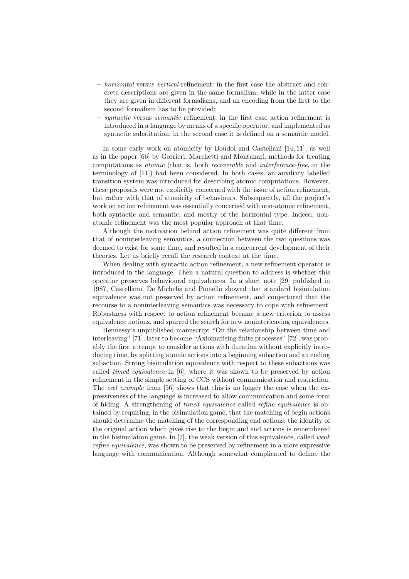- horizontal versus vertical refinement: in the first case the abstract and concrete descriptions are given in the same formalism, while in the latter case they are given in different formalisms, and an encoding from the first to the second formalism has to be provided;
- syntactic versus semantic refinement: in the first case action refinement is introduced in a language by means of a specific operator, and implemented as syntactic substitution; in the second case it is defined on a semantic model.

In some early work on atomicity by Boudol and Castellani [14, 11], as well as in the paper [66] by Gorrieri, Marchetti and Montanari, methods for treating computations as atomic (that is, both recoverable and interference-free, in the terminology of [11]) had been considered. In both cases, an auxiliary labelled transition system was introduced for describing atomic computations. However, these proposals were not explicitly concerned with the issue of action refinement, but rather with that of atomicity of behaviours. Subsequently, all the project's work on action refinement was essentially concerned with non-atomic refinement, both syntactic and semantic, and mostly of the horizontal type. Indeed, nonatomic refinement was the most popular approach at that time.

Although the motivation behind action refinement was quite different from that of noninterleaving semantics, a connection between the two questions was deemed to exist for some time, and resulted in a concurrent development of their theories. Let us briefly recall the research context at the time.

When dealing with syntactic action refinement, a new refinement operator is introduced in the language. Then a natural question to address is whether this operator preserves behavioural equivalences. In a short note [29] published in 1987, Castellano, De Michelis and Pomello showed that standard bisimulation equivalence was not preserved by action refinement, and conjectured that the recourse to a noninterleaving semantics was necessary to cope with refinement. Robustness with respect to action refinement became a new criterion to assess equivalence notions, and spurred the search for new noninterleaving equivalences.

Hennessy's unpublished manuscript "On the relationship between time and interleaving" [71], later to become "Axiomatising finite processes" [72], was probably the first attempt to consider actions with duration without explicitly introducing time, by splitting atomic actions into a beginning subaction and an ending subaction. Strong bisimulation equivalence with respect to these subactions was called timed equivalence in [6], where it was shown to be preserved by action refinement in the simple setting of CCS without communication and restriction. The *owl example* from [56] shows that this is no longer the case when the expressiveness of the language is increased to allow communication and some form of hiding. A strengthening of timed equivalence called refine equivalence is obtained by requiring, in the bisimulation game, that the matching of begin actions should determine the matching of the corresponding end actions; the identity of the original action which gives rise to the begin and end actions is remembered in the bisimulation game. In [7], the weak version of this equivalence, called weak refine equivalence, was shown to be preserved by refinement in a more expressive language with communication. Although somewhat complicated to define, the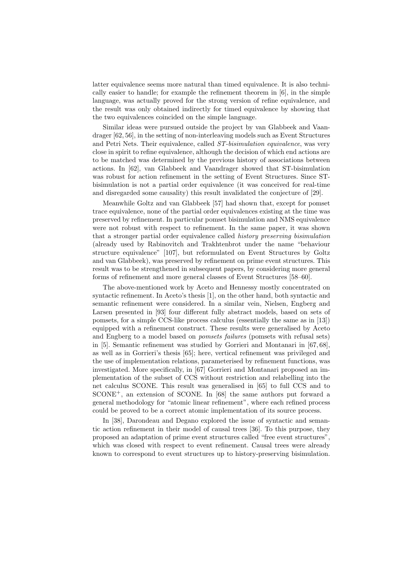latter equivalence seems more natural than timed equivalence. It is also technically easier to handle; for example the refinement theorem in  $|6|$ , in the simple language, was actually proved for the strong version of refine equivalence, and the result was only obtained indirectly for timed equivalence by showing that the two equivalences coincided on the simple language.

Similar ideas were pursued outside the project by van Glabbeek and Vaandrager [62, 56], in the setting of non-interleaving models such as Event Structures and Petri Nets. Their equivalence, called ST-bisimulation equivalence, was very close in spirit to refine equivalence, although the decision of which end actions are to be matched was determined by the previous history of associations between actions. In [62], van Glabbeek and Vaandrager showed that ST-bisimulation was robust for action refinement in the setting of Event Structures. Since STbisimulation is not a partial order equivalence (it was conceived for real-time and disregarded some causality) this result invalidated the conjecture of [29].

Meanwhile Goltz and van Glabbeek [57] had shown that, except for pomset trace equivalence, none of the partial order equivalences existing at the time was preserved by refinement. In particular pomset bisimulation and NMS equivalence were not robust with respect to refinement. In the same paper, it was shown that a stronger partial order equivalence called history preserving bisimulation (already used by Rabinovitch and Trakhtenbrot under the name "behaviour structure equivalence" [107], but reformulated on Event Structures by Goltz and van Glabbeek), was preserved by refinement on prime event structures. This result was to be strengthened in subsequent papers, by considering more general forms of refinement and more general classes of Event Structures [58–60].

The above-mentioned work by Aceto and Hennessy mostly concentrated on syntactic refinement. In Aceto's thesis [1], on the other hand, both syntactic and semantic refinement were considered. In a similar vein, Nielsen, Engberg and Larsen presented in [93] four different fully abstract models, based on sets of pomsets, for a simple CCS-like process calculus (essentially the same as in [13]) equipped with a refinement construct. These results were generalised by Aceto and Engberg to a model based on pomsets failures (pomsets with refusal sets) in [5]. Semantic refinement was studied by Gorrieri and Montanari in [67, 68], as well as in Gorrieri's thesis [65]; here, vertical refinement was privileged and the use of implementation relations, parameterised by refinement functions, was investigated. More specifically, in [67] Gorrieri and Montanari proposed an implementation of the subset of CCS without restriction and relabelling into the net calculus SCONE. This result was generalised in [65] to full CCS and to SCONE+, an extension of SCONE. In [68] the same authors put forward a general methodology for "atomic linear refinement", where each refined process could be proved to be a correct atomic implementation of its source process.

In [38], Darondeau and Degano explored the issue of syntactic and semantic action refinement in their model of causal trees [36]. To this purpose, they proposed an adaptation of prime event structures called "free event structures", which was closed with respect to event refinement. Causal trees were already known to correspond to event structures up to history-preserving bisimulation.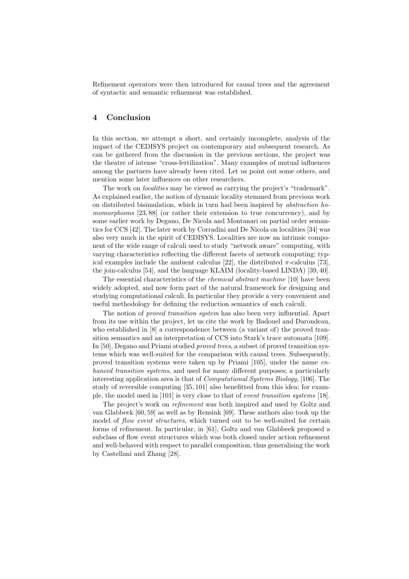Refinement operators were then introduced for causal trees and the agreement of syntactic and semantic refinement was established.

## 4 Conclusion

In this section, we attempt a short, and certainly incomplete, analysis of the impact of the CEDISYS project on contemporary and subsequent research. As can be gathered from the discussion in the previous sections, the project was the theatre of intense "cross-fertilization". Many examples of mutual influences among the partners have already been cited. Let us point out some others, and mention some later influences on other researchers.

The work on localities may be viewed as carrying the project's "trademark". As explained earlier, the notion of dynamic locality stemmed from previous work on distributed bisimulation, which in turn had been inspired by abstraction homomorphisms [23, 88] (or rather their extension to true concurrency), and by some earlier work by Degano, De Nicola and Montanari on partial order semantics for CCS [42]. The later work by Corradini and De Nicola on localities [34] was also very much in the spirit of CEDISYS. Localities are now an intrinsic component of the wide range of calculi used to study "network aware" computing, with varying characteristics reflecting the different facets of network computing; typical examples include the ambient calculus [22], the distributed  $\pi$ -calculus [73]. the join-calculus [54], and the language KLAIM (locality-based LINDA) [39, 40].

The essential characteristics of the chemical abstract machine [10] have been widely adopted, and now form part of the natural framework for designing and studying computational calculi. In particular they provide a very convenient and useful methodology for defining the reduction semantics of such calculi.

The notion of proved transition system has also been very influential. Apart from its use within the project, let us cite the work by Badouel and Darondeau, who established in [8] a correspondence between (a variant of) the proved transition semantics and an interpretation of CCS into Stark's trace automata [109]. In [50], Degano and Priami studied proved trees, a subset of proved transition systems which was well-suited for the comparison with causal trees. Subsequently, proved transition systems were taken up by Priami [105], under the name enhanced transition systems, and used for many different purposes; a particularly interesting application area is that of Computational Systems Biology, [106]. The study of reversible computing [35, 101] also benefitted from this idea; for example, the model used in [101] is very close to that of event transition systems [18].

The project's work on refinement was both inspired and used by Goltz and van Glabbeek [60, 59] as well as by Rensink [69]. These authors also took up the model of *flow event structures*, which turned out to be well-suited for certain forms of refinement. In particular, in [61], Goltz and van Glabbeek proposed a subclass of flow event structures which was both closed under action refinement and well-behaved with respect to parallel composition, thus generalising the work by Castellani and Zhang [28].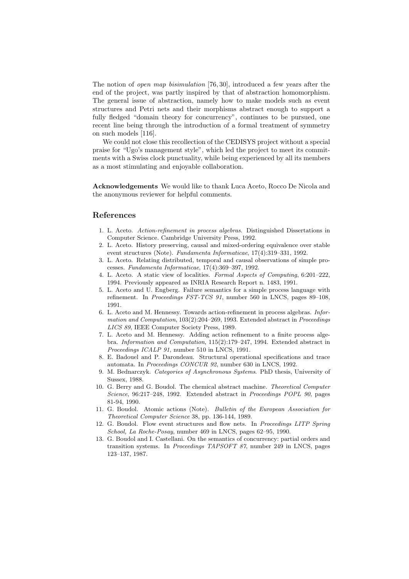The notion of open map bisimulation [76, 30], introduced a few years after the end of the project, was partly inspired by that of abstraction homomorphism. The general issue of abstraction, namely how to make models such as event structures and Petri nets and their morphisms abstract enough to support a fully fledged "domain theory for concurrency", continues to be pursued, one recent line being through the introduction of a formal treatment of symmetry on such models [116].

We could not close this recollection of the CEDISYS project without a special praise for "Ugo's management style", which led the project to meet its commitments with a Swiss clock punctuality, while being experienced by all its members as a most stimulating and enjoyable collaboration.

Acknowledgements We would like to thank Luca Aceto, Rocco De Nicola and the anonymous reviewer for helpful comments.

## References

- 1. L. Aceto. Action-refinement in process algebras. Distinguished Dissertations in Computer Science. Cambridge University Press, 1992.
- 2. L. Aceto. History preserving, causal and mixed-ordering equivalence over stable event structures (Note). Fundamenta Informaticae, 17(4):319–331, 1992.
- 3. L. Aceto. Relating distributed, temporal and causal observations of simple processes. Fundamenta Informaticae, 17(4):369–397, 1992.
- 4. L. Aceto. A static view of localities. Formal Aspects of Computing, 6:201–222, 1994. Previously appeared as INRIA Research Report n. 1483, 1991.
- 5. L. Aceto and U. Engberg. Failure semantics for a simple process language with refinement. In Proceedings FST-TCS 91, number 560 in LNCS, pages 89–108, 1991.
- 6. L. Aceto and M. Hennessy. Towards action-refinement in process algebras. Information and Computation, 103(2):204–269, 1993. Extended abstract in Proceedings LICS 89, IEEE Computer Society Press, 1989.
- 7. L. Aceto and M. Hennessy. Adding action refinement to a finite process algebra. Information and Computation, 115(2):179–247, 1994. Extended abstract in Proceedings ICALP 91, number 510 in LNCS, 1991.
- 8. E. Badouel and P. Darondeau. Structural operational specifications and trace automata. In Proceedings CONCUR 92, number 630 in LNCS, 1992.
- 9. M. Bednarczyk. Categories of Asynchronous Systems. PhD thesis, University of Sussex, 1988.
- 10. G. Berry and G. Boudol. The chemical abstract machine. Theoretical Computer Science, 96:217–248, 1992. Extended abstract in Proceedings POPL 90, pages 81-94, 1990.
- 11. G. Boudol. Atomic actions (Note). Bulletin of the European Association for Theoretical Computer Science 38, pp. 136-144, 1989.
- 12. G. Boudol. Flow event structures and flow nets. In Proceedings LITP Spring School, La Roche-Posay, number 469 in LNCS, pages 62–95, 1990.
- 13. G. Boudol and I. Castellani. On the semantics of concurrency: partial orders and transition systems. In Proceedings TAPSOFT 87, number 249 in LNCS, pages 123–137, 1987.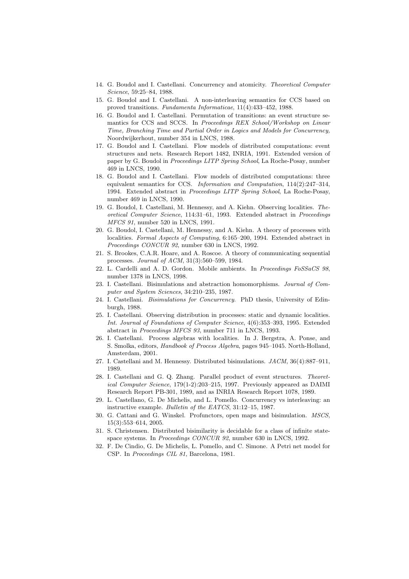- 14. G. Boudol and I. Castellani. Concurrency and atomicity. Theoretical Computer Science, 59:25–84, 1988.
- 15. G. Boudol and I. Castellani. A non-interleaving semantics for CCS based on proved transitions. Fundamenta Informaticae, 11(4):433–452, 1988.
- 16. G. Boudol and I. Castellani. Permutation of transitions: an event structure semantics for CCS and SCCS. In Proceedings REX School/Workshop on Linear Time, Branching Time and Partial Order in Logics and Models for Concurrency, Noordwijkerhout, number 354 in LNCS, 1988.
- 17. G. Boudol and I. Castellani. Flow models of distributed computations: event structures and nets. Research Report 1482, INRIA, 1991. Extended version of paper by G. Boudol in Proceedings LITP Spring School, La Roche-Posay, number 469 in LNCS, 1990.
- 18. G. Boudol and I. Castellani. Flow models of distributed computations: three equivalent semantics for CCS. Information and Computation, 114(2):247–314, 1994. Extended abstract in Proceedings LITP Spring School, La Roche-Posay, number 469 in LNCS, 1990.
- 19. G. Boudol, I. Castellani, M. Hennessy, and A. Kiehn. Observing localities. Theoretical Computer Science, 114:31–61, 1993. Extended abstract in Proceedings MFCS 91, number 520 in LNCS, 1991.
- 20. G. Boudol, I. Castellani, M. Hennessy, and A. Kiehn. A theory of processes with localities. Formal Aspects of Computing, 6:165–200, 1994. Extended abstract in Proceedings CONCUR 92, number 630 in LNCS, 1992.
- 21. S. Brookes, C.A.R. Hoare, and A. Roscoe. A theory of communicating sequential processes. Journal of ACM, 31(3):560–599, 1984.
- 22. L. Cardelli and A. D. Gordon. Mobile ambients. In Proceedings FoSSaCS 98, number 1378 in LNCS, 1998.
- 23. I. Castellani. Bisimulations and abstraction homomorphisms. Journal of Computer and System Sciences, 34:210–235, 1987.
- 24. I. Castellani. Bisimulations for Concurrency. PhD thesis, University of Edinburgh, 1988.
- 25. I. Castellani. Observing distribution in processes: static and dynamic localities. Int. Journal of Foundations of Computer Science, 4(6):353–393, 1995. Extended abstract in Proceedings MFCS 93, number 711 in LNCS, 1993.
- 26. I. Castellani. Process algebras with localities. In J. Bergstra, A. Ponse, and S. Smolka, editors, Handbook of Process Algebra, pages 945–1045. North-Holland, Amsterdam, 2001.
- 27. I. Castellani and M. Hennessy. Distributed bisimulations. JACM, 36(4):887–911, 1989.
- 28. I. Castellani and G. Q. Zhang. Parallel product of event structures. Theoretical Computer Science, 179(1-2):203–215, 1997. Previously appeared as DAIMI Research Report PB-301, 1989, and as INRIA Research Report 1078, 1989.
- 29. L. Castellano, G. De Michelis, and L. Pomello. Concurrency vs interleaving: an instructive example. Bulletin of the EATCS, 31:12–15, 1987.
- 30. G. Cattani and G. Winskel. Profunctors, open maps and bisimulation. MSCS, 15(3):553–614, 2005.
- 31. S. Christensen. Distributed bisimilarity is decidable for a class of infinite statespace systems. In Proceedings CONCUR 92, number 630 in LNCS, 1992.
- 32. F. De Cindio, G. De Michelis, L. Pomello, and C. Simone. A Petri net model for CSP. In Proceedings CIL 81, Barcelona, 1981.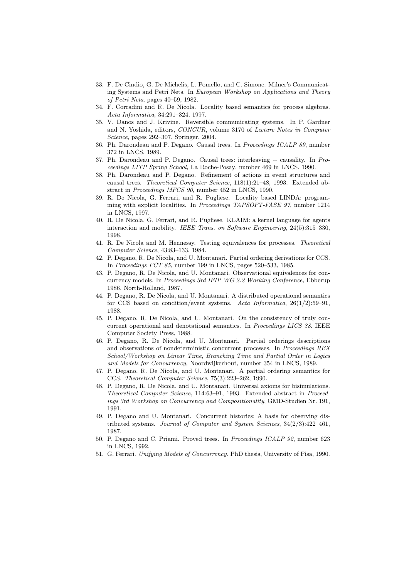- 33. F. De Cindio, G. De Michelis, L. Pomello, and C. Simone. Milner's Communicating Systems and Petri Nets. In European Workshop on Applications and Theory of Petri Nets, pages 40–59, 1982.
- 34. F. Corradini and R. De Nicola. Locality based semantics for process algebras. Acta Informatica, 34:291–324, 1997.
- 35. V. Danos and J. Krivine. Reversible communicating systems. In P. Gardner and N. Yoshida, editors, CONCUR, volume 3170 of Lecture Notes in Computer Science, pages 292–307. Springer, 2004.
- 36. Ph. Darondeau and P. Degano. Causal trees. In Proceedings ICALP 89, number 372 in LNCS, 1989.
- 37. Ph. Darondeau and P. Degano. Causal trees: interleaving + causality. In Proceedings LITP Spring School, La Roche-Posay, number 469 in LNCS, 1990.
- 38. Ph. Darondeau and P. Degano. Refinement of actions in event structures and causal trees. Theoretical Computer Science, 118(1):21–48, 1993. Extended abstract in Proceedings MFCS 90, number 452 in LNCS, 1990.
- 39. R. De Nicola, G. Ferrari, and R. Pugliese. Locality based LINDA: programming with explicit localities. In Proceedings TAPSOFT-FASE 97, number 1214 in LNCS, 1997.
- 40. R. De Nicola, G. Ferrari, and R. Pugliese. KLAIM: a kernel language for agents interaction and mobility. IEEE Trans. on Software Engineering, 24(5):315–330, 1998.
- 41. R. De Nicola and M. Hennessy. Testing equivalences for processes. Theoretical Computer Science, 43:83–133, 1984.
- 42. P. Degano, R. De Nicola, and U. Montanari. Partial ordering derivations for CCS. In Proceedings FCT 85, number 199 in LNCS, pages 520–533, 1985.
- 43. P. Degano, R. De Nicola, and U. Montanari. Observational equivalences for concurrency models. In Proceedings 3rd IFIP WG 2.2 Working Conference, Ebberup 1986. North-Holland, 1987.
- 44. P. Degano, R. De Nicola, and U. Montanari. A distributed operational semantics for CCS based on condition/event systems. Acta Informatica,  $26(1/2):59-91$ , 1988.
- 45. P. Degano, R. De Nicola, and U. Montanari. On the consistency of truly concurrent operational and denotational semantics. In Proceedings LICS 88. IEEE Computer Society Press, 1988.
- 46. P. Degano, R. De Nicola, and U. Montanari. Partial orderings descriptions and observations of nondeterministic concurrent processes. In Proceedings REX School/Workshop on Linear Time, Branching Time and Partial Order in Logics and Models for Concurrency, Noordwijkerhout, number 354 in LNCS, 1989.
- 47. P. Degano, R. De Nicola, and U. Montanari. A partial ordering semantics for CCS. Theoretical Computer Science, 75(3):223–262, 1990.
- 48. P. Degano, R. De Nicola, and U. Montanari. Universal axioms for bisimulations. Theoretical Computer Science, 114:63–91, 1993. Extended abstract in Proceedings 3rd Workshop on Concurrency and Compositionality, GMD-Studien Nr. 191, 1991.
- 49. P. Degano and U. Montanari. Concurrent histories: A basis for observing distributed systems. Journal of Computer and System Sciences, 34(2/3):422–461, 1987.
- 50. P. Degano and C. Priami. Proved trees. In Proceedings ICALP 92, number 623 in LNCS, 1992.
- 51. G. Ferrari. Unifying Models of Concurrency. PhD thesis, University of Pisa, 1990.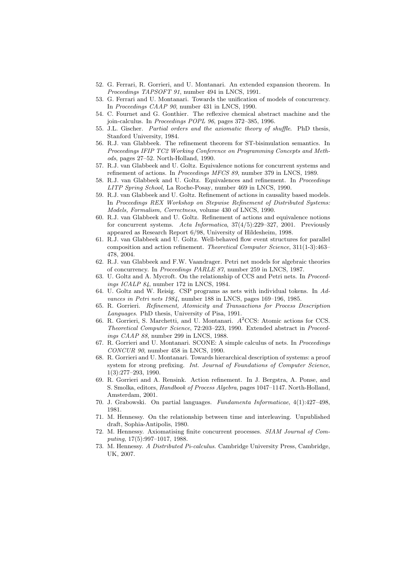- 52. G. Ferrari, R. Gorrieri, and U. Montanari. An extended expansion theorem. In Proceedings TAPSOFT 91, number 494 in LNCS, 1991.
- 53. G. Ferrari and U. Montanari. Towards the unification of models of concurrency. In Proceedings CAAP 90, number 431 in LNCS, 1990.
- 54. C. Fournet and G. Gonthier. The reflexive chemical abstract machine and the join-calculus. In Proceedings POPL 96, pages 372–385, 1996.
- 55. J.L. Gischer. Partial orders and the axiomatic theory of shuffle. PhD thesis, Stanford University, 1984.
- 56. R.J. van Glabbeek. The refinement theorem for ST-bisimulation semantics. In Proceedings IFIP TC2 Working Conference on Programming Concepts and Methods, pages 27–52. North-Holland, 1990.
- 57. R.J. van Glabbeek and U. Goltz. Equivalence notions for concurrent systems and refinement of actions. In Proceedings MFCS 89, number 379 in LNCS, 1989.
- 58. R.J. van Glabbeek and U. Goltz. Equivalences and refinement. In Proceedings LITP Spring School, La Roche-Posay, number 469 in LNCS, 1990.
- 59. R.J. van Glabbeek and U. Goltz. Refinement of actions in causality based models. In Proceedings REX Workshop on Stepwise Refinement of Distributed Systems: Models, Formalism, Correctness, volume 430 of LNCS, 1990.
- 60. R.J. van Glabbeek and U. Goltz. Refinement of actions and equivalence notions for concurrent systems. Acta Informatica, 37(4/5):229–327, 2001. Previously appeared as Research Report 6/98, University of Hildesheim, 1998.
- 61. R.J. van Glabbeek and U. Goltz. Well-behaved flow event structures for parallel composition and action refinement. Theoretical Computer Science, 311(1-3):463– 478, 2004.
- 62. R.J. van Glabbeek and F.W. Vaandrager. Petri net models for algebraic theories of concurrency. In Proceedings PARLE 87, number 259 in LNCS, 1987.
- 63. U. Goltz and A. Mycroft. On the relationship of CCS and Petri nets. In Proceedings ICALP 84, number 172 in LNCS, 1984.
- 64. U. Goltz and W. Reisig. CSP programs as nets with individual tokens. In Advances in Petri nets 1984, number 188 in LNCS, pages 169–196, 1985.
- 65. R. Gorrieri. Refinement, Atomicity and Transactions for Process Description Languages. PhD thesis, University of Pisa, 1991.
- 66. R. Gorrieri, S. Marchetti, and U. Montanari.  $A<sup>2</sup>CCS$ : Atomic actions for CCS. Theoretical Computer Science, 72:203–223, 1990. Extended abstract in Proceedings CAAP 88, number 299 in LNCS, 1988.
- 67. R. Gorrieri and U. Montanari. SCONE: A simple calculus of nets. In Proceedings CONCUR 90, number 458 in LNCS, 1990.
- 68. R. Gorrieri and U. Montanari. Towards hierarchical description of systems: a proof system for strong prefixing. Int. Journal of Foundations of Computer Science, 1(3):277–293, 1990.
- 69. R. Gorrieri and A. Rensink. Action refinement. In J. Bergstra, A. Ponse, and S. Smolka, editors, Handbook of Process Algebra, pages 1047–1147. North-Holland, Amsterdam, 2001.
- 70. J. Grabowski. On partial languages. Fundamenta Informaticae, 4(1):427–498, 1981.
- 71. M. Hennessy. On the relationship between time and interleaving. Unpublished draft, Sophia-Antipolis, 1980.
- 72. M. Hennessy. Axiomatising finite concurrent processes. SIAM Journal of Computing, 17(5):997–1017, 1988.
- 73. M. Hennessy. A Distributed Pi-calculus. Cambridge University Press, Cambridge, UK, 2007.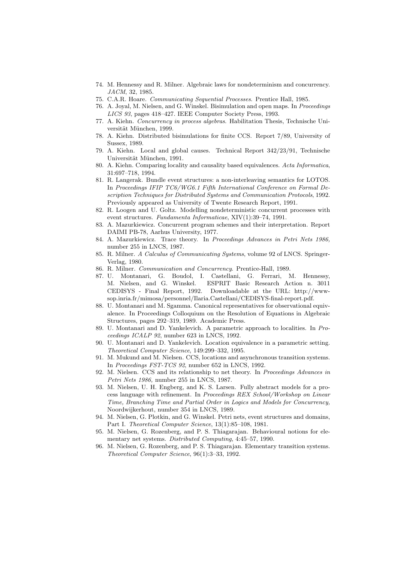- 74. M. Hennessy and R. Milner. Algebraic laws for nondeterminism and concurrency. JACM, 32, 1985.
- 75. C.A.R. Hoare. Communicating Sequential Processes. Prentice Hall, 1985.
- 76. A. Joyal, M. Nielsen, and G. Winskel. Bisimulation and open maps. In Proceedings LICS 93, pages 418–427. IEEE Computer Society Press, 1993.
- 77. A. Kiehn. Concurrency in process algebras. Habilitation Thesis, Technische Universität München, 1999.
- 78. A. Kiehn. Distributed bisimulations for finite CCS. Report 7/89, University of Sussex, 1989.
- 79. A. Kiehn. Local and global causes. Technical Report 342/23/91, Technische Universität München, 1991.
- 80. A. Kiehn. Comparing locality and causality based equivalences. Acta Informatica, 31:697–718, 1994.
- 81. R. Langerak. Bundle event structures: a non-interleaving semantics for LOTOS. In Proceedings IFIP TC6/WG6.1 Fifth International Conference on Formal Description Techniques for Distributed Systems and Communication Protocols, 1992. Previously appeared as University of Twente Research Report, 1991.
- 82. R. Loogen and U. Goltz. Modelling nondeterministic concurrent processes with event structures. Fundamenta Informaticae, XIV(1):39–74, 1991.
- 83. A. Mazurkiewicz. Concurrent program schemes and their interpretation. Report DAIMI PB-78, Aarhus University, 1977.
- 84. A. Mazurkiewicz. Trace theory. In Proceedings Advances in Petri Nets 1986, number 255 in LNCS, 1987.
- 85. R. Milner. A Calculus of Communicating Systems, volume 92 of LNCS. Springer-Verlag, 1980.
- 86. R. Milner. Communication and Concurrency. Prentice-Hall, 1989.
- 87. U. Montanari, G. Boudol, I. Castellani, G. Ferrari, M. Hennessy, M. Nielsen, and G. Winskel. ESPRIT Basic Research Action n. 3011 CEDISYS - Final Report, 1992. Downloadable at the URL: http://wwwsop.inria.fr/mimosa/personnel/Ilaria.Castellani/CEDISYS-final-report.pdf.
- 88. U. Montanari and M. Sgamma. Canonical representatives for observational equivalence. In Proceedings Colloquium on the Resolution of Equations in Algebraic Structures, pages 292–319, 1989. Academic Press.
- 89. U. Montanari and D. Yankelevich. A parametric approach to localities. In Proceedings ICALP 92, number 623 in LNCS, 1992.
- 90. U. Montanari and D. Yankelevich. Location equivalence in a parametric setting. Theoretical Computer Science, 149:299–332, 1995.
- 91. M. Mukund and M. Nielsen. CCS, locations and asynchronous transition systems. In Proceedings FST-TCS 92, number 652 in LNCS, 1992.
- 92. M. Nielsen. CCS and its relationship to net theory. In Proceedings Advances in Petri Nets 1986, number 255 in LNCS, 1987.
- 93. M. Nielsen, U. H. Engberg, and K. S. Larsen. Fully abstract models for a process language with refinement. In Proceedings REX School/Workshop on Linear Time, Branching Time and Partial Order in Logics and Models for Concurrency, Noordwijkerhout, number 354 in LNCS, 1989.
- 94. M. Nielsen, G. Plotkin, and G. Winskel. Petri nets, event structures and domains, Part I. Theoretical Computer Science, 13(1):85–108, 1981.
- 95. M. Nielsen, G. Rozenberg, and P. S. Thiagarajan. Behavioural notions for elementary net systems. Distributed Computing, 4:45–57, 1990.
- 96. M. Nielsen, G. Rozenberg, and P. S. Thiagarajan. Elementary transition systems. Theoretical Computer Science, 96(1):3–33, 1992.